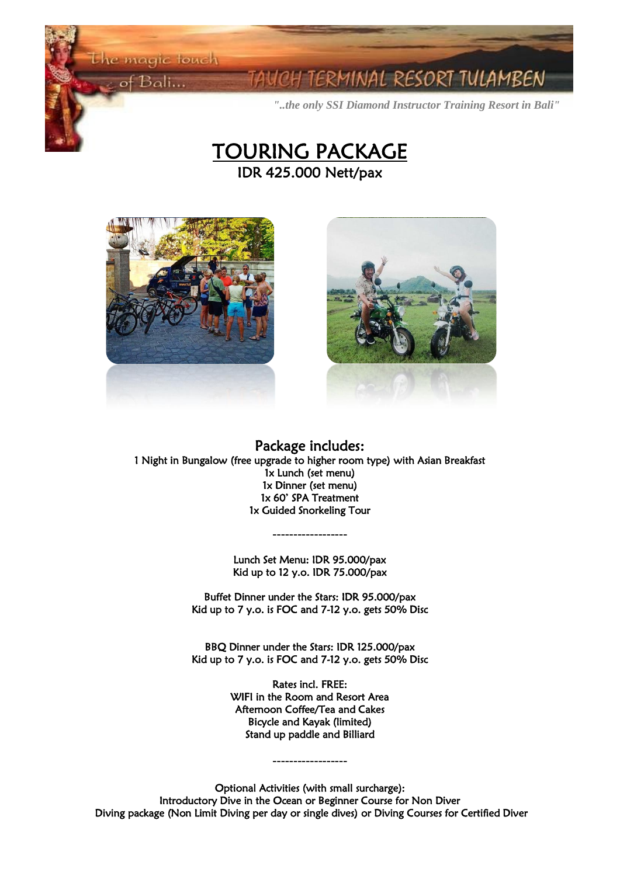the magic touch

of Bali...

Ĭ **Contract Contract Contract Contract** 

I

### 1INAL RESORT TULAMBEN

*"..the only SSI Diamond Instructor Training Resort in Bali"*







Package includes: 1 Night in Bungalow (free upgrade to higher room type) with Asian Breakfast 1x Lunch (set menu) 1x Dinner (set menu) 1x 60' SPA Treatment 1x Guided Snorkeling Tour

> Lunch Set Menu: IDR 95.000/pax Kid up to 12 y.o. IDR 75.000/pax

**------------------**

Buffet Dinner under the Stars: IDR 95.000/pax Kid up to 7 y.o. is FOC and 7-12 y.o. gets 50% Disc

BBQ Dinner under the Stars: IDR 125.000/pax Kid up to 7 y.o. is FOC and 7-12 y.o. gets 50% Disc

> Rates incl. FREE: WIFI in the Room and Resort Area Afternoon Coffee/Tea and Cakes Bicycle and Kayak (limited) Stand up paddle and Billiard

Optional Activities (with small surcharge): Introductory Dive in the Ocean or Beginner Course for Non Diver Diving package (Non Limit Diving per day or single dives) or Diving Courses for Certified Diver

**------------------**